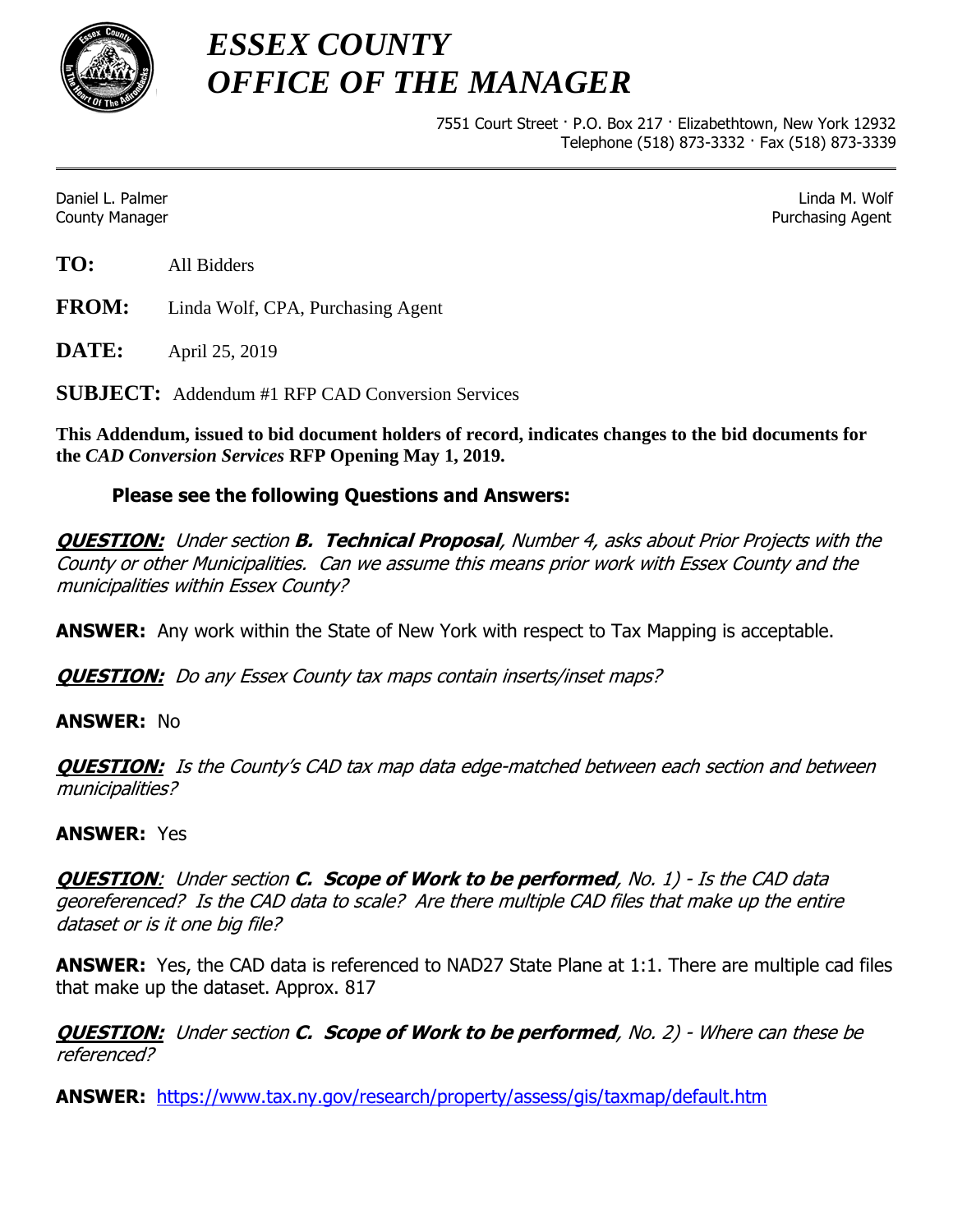

*ESSEX COUNTY OFFICE OF THE MANAGER*

> 7551 Court Street · P.O. Box 217 · Elizabethtown, New York 12932 Telephone (518) 873-3332 · Fax (518) 873-3339

Daniel L. Palmer Linda M. Wolf County Manager Purchasing Agent

**TO:** All Bidders

**FROM:** Linda Wolf, CPA, Purchasing Agent

**DATE:** April 25, 2019

**SUBJECT:** Addendum #1 RFP CAD Conversion Services

**This Addendum, issued to bid document holders of record, indicates changes to the bid documents for the** *CAD Conversion Services* **RFP Opening May 1, 2019.**

## **Please see the following Questions and Answers:**

**QUESTION:** Under section **B. Technical Proposal**, Number 4, asks about Prior Projects with the County or other Municipalities. Can we assume this means prior work with Essex County and the municipalities within Essex County?

**ANSWER:** Any work within the State of New York with respect to Tax Mapping is acceptable.

**QUESTION:** Do any Essex County tax maps contain inserts/inset maps?

## **ANSWER:** No

**QUESTION:** Is the County's CAD tax map data edge-matched between each section and between municipalities?

## **ANSWER:** Yes

**QUESTION**: Under section **C. Scope of Work to be performed**, No. 1) - Is the CAD data georeferenced? Is the CAD data to scale? Are there multiple CAD files that make up the entire dataset or is it one big file?

**ANSWER:** Yes, the CAD data is referenced to NAD27 State Plane at 1:1. There are multiple cad files that make up the dataset. Approx. 817

**QUESTION:** Under section **C. Scope of Work to be performed**, No. 2) - Where can these be referenced?

**ANSWER:** <https://www.tax.ny.gov/research/property/assess/gis/taxmap/default.htm>